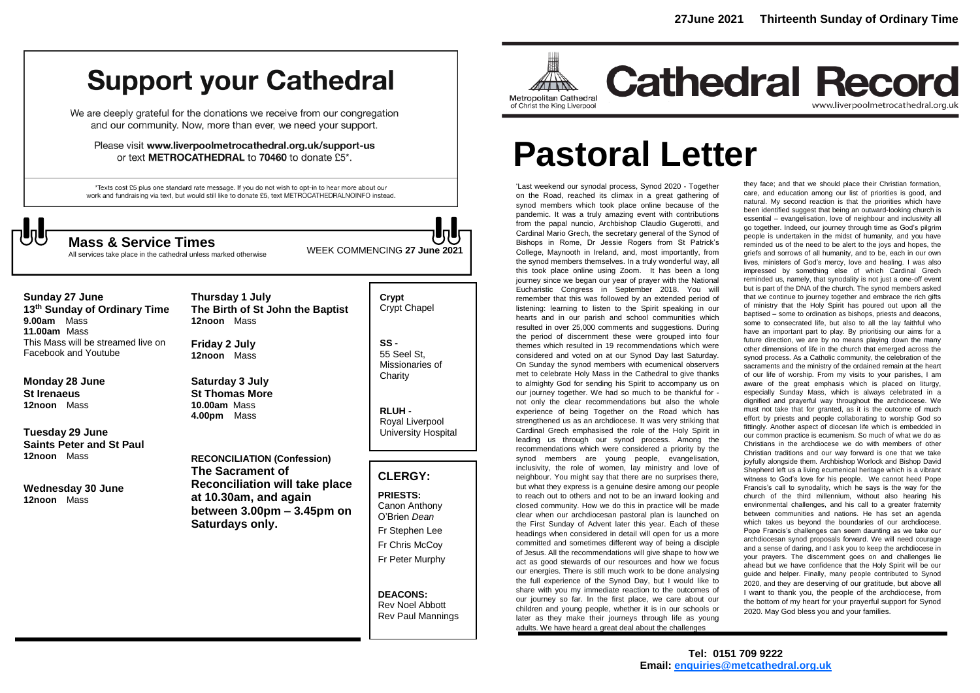# **Support your Cathedral**

We are deeply grateful for the donations we receive from our congregation and our community. Now, more than ever, we need your support.

Please visit www.liverpoolmetrocathedral.org.uk/support-us or text METROCATHEDRAL to 70460 to donate £5\*.

\*Texts cost £5 plus one standard rate message. If you do not wish to opt-in to hear more about our work and fundraising via text, but would still like to donate £5, text METROCATHEDRALNOINFO instead.



All services take place in the cathedral unless marked otherwise

WEEK COMMENCING **<sup>27</sup> June <sup>2021</sup> Mass & Service Times**

Rev Noel Abbott Rev Paul Mannings

| <b>Sunday 27 June</b><br>13 <sup>th</sup> Sunday of Ordinary Time<br>Mass<br>9.00am<br>$11.00am$ Mass | Thursday 1 July<br>The Birth of St John the Baptist<br>12noon Mass                                                                    | Crypt<br>Crypt Chapel                                                                                                     |
|-------------------------------------------------------------------------------------------------------|---------------------------------------------------------------------------------------------------------------------------------------|---------------------------------------------------------------------------------------------------------------------------|
| This Mass will be streamed live on<br>Facebook and Youtube                                            | Friday 2 July<br>12noon Mass                                                                                                          | $SS -$<br>55 Seel St.<br>Missionaries of                                                                                  |
| Monday 28 June<br><b>St Irenaeus</b><br>12noon Mass                                                   | Saturday 3 July<br><b>St Thomas More</b><br>10.00am Mass<br>4.00pm<br>Mass                                                            | Charity<br>RLUH-<br>Royal Liverpool                                                                                       |
| Tuesday 29 June<br><b>Saints Peter and St Paul</b>                                                    |                                                                                                                                       | <b>University Hospital</b>                                                                                                |
| 12noon Mass                                                                                           | <b>RECONCILIATION (Confession)</b>                                                                                                    |                                                                                                                           |
| Wednesday 30 June<br>12noon Mass                                                                      | The Sacrament of<br><b>Reconciliation will take place</b><br>at 10.30am, and again<br>between $3.00pm - 3.45pm$ on<br>Saturdays only. | <b>CLERGY:</b><br><b>PRIESTS:</b><br>Canon Anthony<br>O'Brien Dean<br>Fr Stephen Lee<br>Fr Chris McCoy<br>Fr Peter Murphy |
|                                                                                                       |                                                                                                                                       |                                                                                                                           |



**Cathedral Record** www.liverpoolmetrocathedral.org.uk

# **Pastoral Letter**

'Last weekend our synodal process, Synod 2020 - Together on the Road, reached its climax in a great gathering of synod members which took place online because of the pandemic. It was a truly amazing event with contributions from the papal nuncio, Archbishop Claudio Gugerotti, and Cardinal Mario Grech, the secretary general of the Synod of Bishops in Rome, Dr Jessie Rogers from St Patrick's College, Maynooth in Ireland, and, most importantly, from the synod members themselves. In a truly wonderful way, all this took place online using Zoom. It has been a long journey since we began our year of prayer with the National Eucharistic Congress in September 2018. You will remember that this was followed by an extended period of listening: learning to listen to the Spirit speaking in our hearts and in our parish and school communities which resulted in over 25,000 comments and suggestions. During the period of discernment these were grouped into four themes which resulted in 19 recommendations which were considered and voted on at our Synod Day last Saturday. On Sunday the synod members with ecumenical observers met to celebrate Holy Mass in the Cathedral to give thanks to almighty God for sending his Spirit to accompany us on our journey together. We had so much to be thankful for not only the clear recommendations but also the whole experience of being Together on the Road which has strengthened us as an archdiocese. It was very striking that Cardinal Grech emphasised the role of the Holy Spirit in leading us through our synod process. Among the recommendations which were considered a priority by the synod members are young people, evangelisation, inclusivity, the role of women, lay ministry and love of neighbour. You might say that there are no surprises there, but what they express is a genuine desire among our people to reach out to others and not to be an inward looking and closed community. How we do this in practice will be made clear when our archdiocesan pastoral plan is launched on the First Sunday of Advent later this year. Each of these headings when considered in detail will open for us a more committed and sometimes different way of being a disciple of Jesus. All the recommendations will give shape to how we act as good stewards of our resources and how we focus our energies. There is still much work to be done analysing the full experience of the Synod Day, but I would like to share with you my immediate reaction to the outcomes of our journey so far. In the first place, we care about our children and young people, whether it is in our schools or later as they make their journeys through life as young adults. We have heard a great deal about the challenges

they face; and that we should place their Christian formation, care, and education among our list of priorities is good, and natural. My second reaction is that the priorities which have been identified suggest that being an outward-looking church is essential – evangelisation, love of neighbour and inclusivity all go together. Indeed, our journey through time as God's pilgrim people is undertaken in the midst of humanity, and you have reminded us of the need to be alert to the joys and hopes, the griefs and sorrows of all humanity, and to be, each in our own lives, ministers of God's mercy, love and healing. I was also impressed by something else of which Cardinal Grech reminded us, namely, that synodality is not just a one-off event but is part of the DNA of the church. The synod members asked that we continue to journey together and embrace the rich gifts of ministry that the Holy Spirit has poured out upon all the baptised – some to ordination as bishops, priests and deacons, some to consecrated life, but also to all the lay faithful who have an important part to play. By prioritising our aims for a future direction, we are by no means playing down the many other dimensions of life in the church that emerged across the synod process. As a Catholic community, the celebration of the sacraments and the ministry of the ordained remain at the heart of our life of worship. From my visits to your parishes, I am aware of the great emphasis which is placed on liturgy, especially Sunday Mass, which is always celebrated in a dignified and prayerful way throughout the archdiocese. We must not take that for granted, as it is the outcome of much effort by priests and people collaborating to worship God so fittingly. Another aspect of diocesan life which is embedded in our common practice is ecumenism. So much of what we do as Christians in the archdiocese we do with members of other Christian traditions and our way forward is one that we take joyfully alongside them. Archbishop Worlock and Bishop David Shepherd left us a living ecumenical heritage which is a vibrant witness to God's love for his people. We cannot heed Pope Francis's call to synodality, which he says is the way for the church of the third millennium, without also hearing his environmental challenges, and his call to a greater fraternity between communities and nations. He has set an agenda which takes us beyond the boundaries of our archdiocese. Pope Francis's challenges can seem daunting as we take our archdiocesan synod proposals forward. We will need courage and a sense of daring, and I ask you to keep the archdiocese in your prayers. The discernment goes on and challenges lie ahead but we have confidence that the Holy Spirit will be our guide and helper. Finally, many people contributed to Synod 2020, and they are deserving of our gratitude, but above all I want to thank you, the people of the archdiocese, from the bottom of my heart for your prayerful support for Synod 2020. May God bless you and your families.